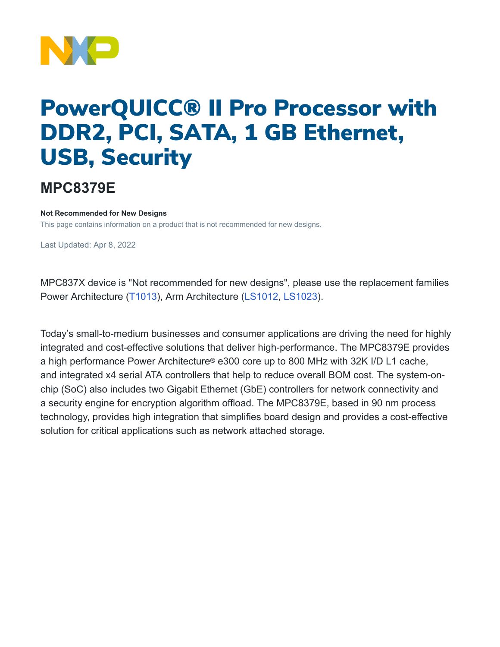

## PowerQUICC® II Pro Processor with DDR2, PCI, SATA, 1 GB Ethernet, USB, Security

## **MPC8379E**

## **Not Recommended for New Designs**

This page contains information on a product that is not recommended for new designs.

Last Updated: Apr 8, 2022

MPC837X device is "Not recommended for new designs", please use the replacement families Power Architecture [\(T1013](https://www.nxp.com/products/processors-and-microcontrollers/power-architecture/qoriq-communication-processors/t-series/qoriq-t1024-14-and-t1023-13-dual-and-single-core-communications-processors:T1024)), Arm Architecture [\(LS1012,](https://www.nxp.com/products/processors-and-microcontrollers/arm-processors/layerscape-processors/layerscape-1012a-low-power-processor:LS1012A) [LS1023\)](https://www.nxp.com/products/processors-and-microcontrollers/arm-processors/layerscape-processors/layerscape-1043a-and-1023a-processors:LS1043A).

Today's small-to-medium businesses and consumer applications are driving the need for highly integrated and cost-effective solutions that deliver high-performance. The MPC8379E provides a high performance Power Architecture® e300 core up to 800 MHz with 32K I/D L1 cache, and integrated x4 serial ATA controllers that help to reduce overall BOM cost. The system-onchip (SoC) also includes two Gigabit Ethernet (GbE) controllers for network connectivity and a security engine for encryption algorithm offload. The MPC8379E, based in 90 nm process technology, provides high integration that simplifies board design and provides a cost-effective solution for critical applications such as network attached storage.